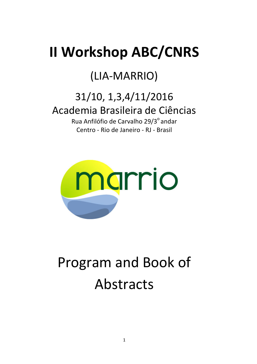# **II Workshop ABC/CNRS**

## (LIA-MARRIO)

## 31/10, 1,3,4/11/2016 Academia Brasileira de Ciências

Rua Anfilófio de Carvalho 29/3<sup>°</sup> andar Centro - Rio de Janeiro - RJ - Brasil



# Program and Book of Abstracts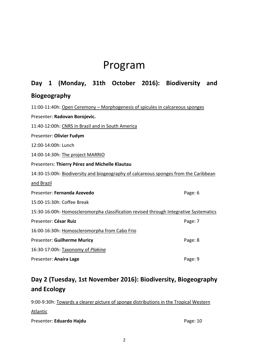## Program

## **Day 1 (Monday, 31th October 2016): Biodiversity and Biogeography**

| 11:00-11:40h: Open Ceremony – Morphogenesis of spicules in calcareous sponges         |         |
|---------------------------------------------------------------------------------------|---------|
| Presenter: Radovan Borojevic.                                                         |         |
| 11:40-12:00h: CNRS in Brazil and in South America                                     |         |
| Presenter: Olivier Fudym                                                              |         |
| 12:00-14:00h: Lunch                                                                   |         |
| 14:00-14:30h: The project MARRIO                                                      |         |
| Presenters: Thierry Pérez and Michelle Klautau                                        |         |
| 14:30-15:00h: Biodiversity and biogeography of calcareous sponges from the Caribbean  |         |
| and Brazil                                                                            |         |
| Presenter: Fernanda Azevedo                                                           | Page: 6 |
| 15:00-15:30h: Coffee Break                                                            |         |
| 15:30-16:00h: Homoscleromorpha classification revised through Integrative Systematics |         |
| Presenter: César Ruiz                                                                 | Page: 7 |
| 16:00-16:30h: Homoscleromorpha from Cabo Frio                                         |         |
| <b>Presenter: Guilherme Muricy</b>                                                    | Page: 8 |
| 16:30-17:00h: Taxonomy of Plakina                                                     |         |
| Presenter: Anaíra Lage                                                                | Page: 9 |

## **Day 2 (Tuesday, 1st November 2016): Biodiversity, Biogeography and Ecology**

| 9:00-9:30h: Towards a clearer picture of sponge distributions in the Tropical Western |          |
|---------------------------------------------------------------------------------------|----------|
| Atlantic                                                                              |          |
| Presenter: Eduardo Hajdu                                                              | Page: 10 |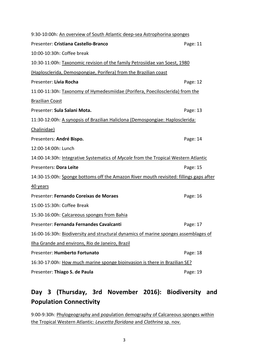| 9:30-10:00h: An overview of South Atlantic deep-sea Astrophorina sponges               |          |  |
|----------------------------------------------------------------------------------------|----------|--|
| Presenter: Cristiana Castello-Branco                                                   | Page: 11 |  |
| 10:00-10:30h: Coffee break                                                             |          |  |
| 10:30-11:00h: Taxonomic revision of the family Petrosiidae van Soest, 1980             |          |  |
| (Haplosclerida, Demospongiae, Porifera) from the Brazilian coast                       |          |  |
| Presenter: Lívia Rocha                                                                 | Page: 12 |  |
| 11:00-11:30h: Taxonomy of Hymedesmiidae (Porifera, Poecilosclerida) from the           |          |  |
| <b>Brazilian Coast</b>                                                                 |          |  |
| Presenter: Sula Salani Mota.                                                           | Page: 13 |  |
| 11:30-12:00h: A synopsis of Brazilian Haliclona (Demospongiae: Haplosclerida:          |          |  |
| Chalinidae)                                                                            |          |  |
| Presenters: André Bispo.                                                               | Page: 14 |  |
| 12:00-14:00h: Lunch                                                                    |          |  |
| 14:00-14:30h: Integrative Systematics of Mycale from the Tropical Western Atlantic     |          |  |
|                                                                                        |          |  |
| Presenters: Dora Leite                                                                 | Page: 15 |  |
| 14:30-15:00h: Sponge bottoms off the Amazon River mouth revisited: fillings gaps after |          |  |
| 40 years                                                                               |          |  |
| Presenter: Fernando Coreixas de Moraes                                                 | Page: 16 |  |
| 15:00-15:30h: Coffee Break                                                             |          |  |
| 15:30-16:00h: Calcareous sponges from Bahia                                            |          |  |
| Presenter: Fernanda Fernandes Cavalcanti                                               | Page: 17 |  |
| 16:00-16:30h: Biodiversity and structural dynamics of marine sponges assemblages of    |          |  |
| Ilha Grande and environs, Rio de Janeiro, Brazil                                       |          |  |
| Presenter: Humberto Fortunato                                                          | Page: 18 |  |
| 16:30-17:00h: How much marine sponge bioinvasion is there in Brazilian SE?             |          |  |

## **Day 3 (Thursday, 3rd November 2016): Biodiversity and Population Connectivity**

9:00-9:30h: Phylogeography and population demography of Calcareous sponges within the Tropical Western Atlantic: *Leucetta floridana* and *Clathrina* sp. nov.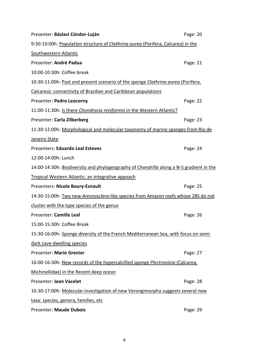| Presenter: Báslavi Cóndor-Luján                                                         | Page: 20 |
|-----------------------------------------------------------------------------------------|----------|
| 9:30-10:00h: Population structure of Clathrina aurea (Porifera, Calcarea) in the        |          |
| Southwestern Atlantic                                                                   |          |
| Presenter: André Padua                                                                  | Page: 21 |
| 10:00-10:30h: Coffee break                                                              |          |
| 10:30-11:00h: Past and present scenario of the sponge Clathrina aurea (Porifera,        |          |
| Calcarea): connectivity of Brazilian and Caribbean populations                          |          |
| Presenter: Pedro Leocorny                                                               | Page: 22 |
| 11:00-11:30h: Is there Chondrosia reniformis in the Western Atlantic?                   |          |
| Presenter: Carla Zilberberg                                                             | Page: 23 |
| 11:30-12:00h: Morphological and molecular taxonomy of marine sponges from Rio de        |          |
| Janeiro State                                                                           |          |
| Presenters: Eduardo Leal Esteves                                                        | Page: 24 |
| 12:00-14:00h: Lunch                                                                     |          |
| 14:00-14:30h: Biodiversity and phylogeography of Chondrilla along a N-S gradient in the |          |
| Tropical Western Atlantic: an integrative appoach                                       |          |
| Presenters: Nicole Boury-Esnault                                                        | Page: 25 |
| 14:30-15:00h: Two new Aresnosclera-like species from Amazon reefs whose 28S do not      |          |
| cluster with the type species of the genus                                              |          |
| Presenter: Camille Leal                                                                 | Page: 26 |
| 15:00-15:30h: Coffee Break                                                              |          |
| 15:30-16:00h: Sponge diversity of the French Mediterranean Sea, with focus on semi-     |          |
| dark cave-dwelling species                                                              |          |
| Presenter: Marie Grenier                                                                | Page: 27 |
| 16:00-16:30h: New records of the hypercalcified sponge Plectroninia (Calcarea,          |          |
| Michinellidae) in the Recent deep ocean                                                 |          |
| Presenter: Jean Vacelet                                                                 | Page: 28 |
| 16:30-17:00h: Molecular investigation of new Verongimorpha suggests several new         |          |
| taxa: species, genera, families, etc                                                    |          |
| Presenter: Maude Dubois                                                                 | Page: 29 |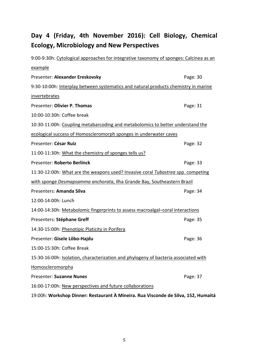## **Day 4 (Friday, 4th November 2016): Cell Biology, Chemical Ecology, Microbiology and New Perspectives**

| 9:00-9:30h: Cytological approaches for integrative taxonomy of sponges: Calcinea as an |          |  |
|----------------------------------------------------------------------------------------|----------|--|
| example                                                                                |          |  |
| Presenter: Alexander Ereskovsky                                                        | Page: 30 |  |
| 9:30-10:00h: Interplay between systematics and natural products chemistry in marine    |          |  |
| invertebrates                                                                          |          |  |
| Presenter: Olivier P. Thomas                                                           | Page: 31 |  |
| 10:00-10:30h: Coffee break                                                             |          |  |
| 10:30-11:00h: Coupling metabarcoding and metabolomics to better understand the         |          |  |
| ecological success of Homoscleromorph sponges in underwater caves                      |          |  |
| Presenter: César Ruiz                                                                  | Page: 32 |  |
| 11:00-11:30h: What the chemistry of sponges tells us?                                  |          |  |
| Presenter: Roberto Berlinck                                                            | Page: 33 |  |
| 11:30-12:00h: What are the weapons used? Invasive coral Tubastrea spp. competing       |          |  |
| with sponge Desmapsamma anchorata, Ilha Grande Bay, Southeastern Brazil                |          |  |
| Presenters: Amanda Silva                                                               | Page: 34 |  |
| 12:00-14:00h: Lunch                                                                    |          |  |
| 14:00-14:30h: Metabolomic fingerprints to assess macroalgal-coral interactions         |          |  |
| Presenters: Stéphane Greff                                                             | Page: 35 |  |
| 14:30-15:00h: Phenotipic Platicity in Porifera                                         |          |  |
| Presenter: Gisele Lôbo-Hajdu                                                           | Page: 36 |  |
| 15:00-15:30h: Coffee Break                                                             |          |  |
| 15:30-16:00h: Isolation, characterization and phylogeny of bacteria associated with    |          |  |
| Homoscleromorpha                                                                       |          |  |
| Presenter: Suzanne Nunes                                                               | Page: 37 |  |
| 16:00-17:00h: New perspectives and future collaborations                               |          |  |
| 19:00h: Workshop Dinner: Restaurant À Mineira. Rua Visconde de Silva, 152, Humaitá     |          |  |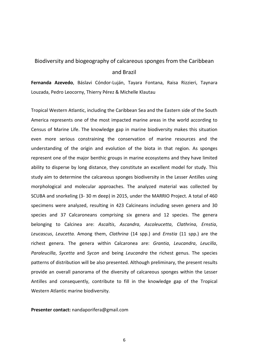## Biodiversity and biogeography of calcareous sponges from the Caribbean and Brazil

**Fernanda Azevedo**, Báslavi Cóndor-Luján, Tayara Fontana, Raisa Rizzieri, Taynara Louzada, Pedro Leocorny, Thierry Pérez & Michelle Klautau

Tropical Western Atlantic, including the Caribbean Sea and the Eastern side of the South America represents one of the most impacted marine areas in the world according to Census of Marine Life. The knowledge gap in marine biodiversity makes this situation even more serious constraining the conservation of marine resources and the understanding of the origin and evolution of the biota in that region. As sponges represent one of the major benthic groups in marine ecosystems and they have limited ability to disperse by long distance, they constitute an excellent model for study. This study aim to determine the calcareous sponges biodiversity in the Lesser Antilles using morphological and molecular approaches. The analyzed material was collected by SCUBA and snorkeling (3- 30 m deep) in 2015, under the MARRIO Project. A total of 460 specimens were analyzed, resulting in 423 Calcineans including seven genera and 30 species and 37 Calcaroneans comprising six genera and 12 species. The genera belonging to Calcinea are: *Ascaltis*, *Ascandra*, *Ascoleucetta*, *Clathrina*, *Ernstia*, *Leucascus*, *Leucetta.* Among them, *Clathrina* (14 spp.) and *Ernstia* (11 spp.) are the richest genera. The genera within Calcaronea are: *Grantia*, *Leucandra*, *Leucilla*, *Paraleucilla*, *Sycetta* and *Sycon* and being *Leucandra* the richest genus. The species patterns of distribution will be also presented. Although preliminary, the present results provide an overall panorama of the diversity of calcareous sponges within the Lesser Antilles and consequently, contribute to fill in the knowledge gap of the Tropical Western Atlantic marine biodiversity.

**Presenter contact:** nandaporifera@gmail.com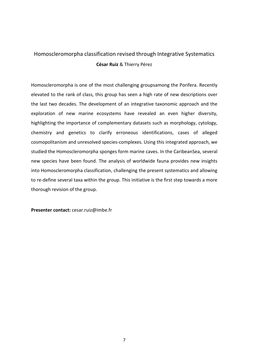### Homoscleromorpha classification revised through Integrative Systematics **César Ruiz** & Thierry Pérez

Homoscleromorpha is one of the most challenging groupsamong the Porifera. Recently elevated to the rank of class, this group has seen a high rate of new descriptions over the last two decades. The development of an integrative taxonomic approach and the exploration of new marine ecosystems have revealed an even higher diversity, highlighting the importance of complementary datasets such as morphology, cytology, chemistry and genetics to clarify erroneous identifications, cases of alleged cosmopolitanism and unresolved species-complexes. Using this integrated approach, we studied the Homoscleromorpha sponges form marine caves. In the CaribeanSea, several new species have been found. The analysis of worldwide fauna provides new insights into Homoscleromorpha classification, challenging the present systematics and allowing to re-define several taxa within the group. This initiative is the first step towards a more thorough revision of the group.

**Presenter contact:** cesar.ruiz@imbe.fr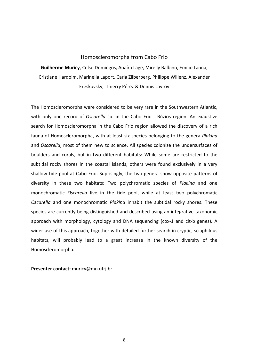#### Homoscleromorpha from Cabo Frio

**Guilherme Muricy**, Celso Domingos, Anaíra Lage, Mirelly Balbino, Emilio Lanna, Cristiane Hardoim, Marinella Laport, Carla Zilberberg, Philippe Willenz, Alexander Ereskovsky, Thierry Pérez & Dennis Lavrov

The Homoscleromorpha were considered to be very rare in the Southwestern Atlantic, with only one record of *Oscarella* sp. in the Cabo Frio - Búzios region. An exaustive search for Homoscleromorpha in the Cabo Frio region allowed the discovery of a rich fauna of Homoscleromorpha, with at least six species belonging to the genera *Plakina* and *Oscarella*, most of them new to science. All species colonize the undersurfaces of boulders and corals, but in two different habitats: While some are restricted to the subtidal rocky shores in the coastal islands, others were found exclusively in a very shallow tide pool at Cabo Frio. Suprisingly, the two genera show opposite patterns of diversity in these two habitats: Two polychromatic species of *Plakina* and one monochromatic *Oscarella* live in the tide pool, while at least two polychromatic *Oscarella* and one monochromatic *Plakina* inhabit the subtidal rocky shores. These species are currently being distinguished and described using an integrative taxonomic approach with morphology, cytology and DNA sequencing (cox-1 and cit-b genes). A wider use of this approach, together with detailed further search in cryptic, sciaphilous habitats, will probably lead to a great increase in the known diversity of the Homoscleromorpha.

**Presenter contact:** muricy@mn.ufrj.br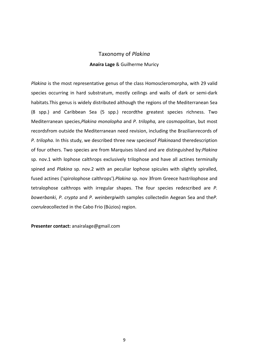### Taxonomy of *Plakina* **Anaíra Lage** & Guilherme Muricy

*Plakina* is the most representative genus of the class Homoscleromorpha, with 29 valid species occurring in hard substratum, mostly ceilings and walls of dark or semi-dark habitats.This genus is widely distributed although the regions of the Mediterranean Sea (8 spp.) and Caribbean Sea (5 spp.) recordthe greatest species richness. Two Mediterranean species,*Plakina monolopha* and *P. trilopha,* are cosmopolitan, but most recordsfrom outside the Mediterranean need revision, including the Brazilianrecords of *P. trilopha*. In this study, we described three new speciesof *Plakina*and theredescription of four others. Two species are from Marquises Island and are distinguished by:*Plakina* sp. nov.1 with lophose calthrops exclusively trilophose and have all actines terminally spined and *Plakina* sp. nov.2 with an peculiar lophose spicules with slightly spiralled, fused actines ('spirolophose calthrops').*Plakina* sp. nov 3from Greece hastrilophose and tetralophose calthrops with irregular shapes. The four species redescribed are *P. bowerbanki*, *P. crypta* and *P. weinbergi*with samples collectedin Aegean Sea and the*P. coerulea*collected in the Cabo Frio (Búzios) region.

**Presenter contact:** anairalage@gmail.com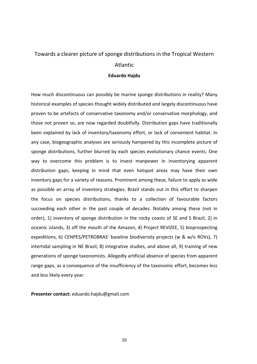#### Towards a clearer picture of sponge distributions in the Tropical Western

#### Atlantic

#### **Eduardo Hajdu**

How much discontinuous can possibly be marine sponge distributions in reality? Many historical examples of species thought widely distributed and largely discontinuous have proven to be artefacts of conservative taxonomy and/or conservative morphology, and those not proven so, are now regarded doubtfully. Distribution gaps have traditionally been explained by lack of inventory/taxonomy effort, or lack of convenient habitat. In any case, biogeographic analyses are seriously hampered by this incomplete picture of sponge distributions, further blurred by each species evolutionary chance events. One way to overcome this problem is to invest manpower in inventorying apparent distribution gaps, keeping in mind that even hotspot areas may have their own inventory gaps for a variety of reasons. Prominent among these, failure to apply as wide as possible an array of inventory strategies. Brazil stands out in this effort to sharpen the focus on species distributions, thanks to a collection of favourable factors succeeding each other in the past couple of decades. Notably among these (not in order), 1) inventory of sponge distribution in the rocky coasts of SE and S Brazil, 2) in oceanic islands, 3) off the mouth of the Amazon, 4) Project REVIZEE, 5) bioprospecting expeditions, 6) CENPES/PETROBRAS' baseline biodiversity projects (w & w/o ROVs), 7) intertidal sampling in NE Brazil, 8) integrative studies, and above all, 9) training of new generations of sponge taxonomists. Allegedly artificial absence of species from apparent range gaps, as a consequence of the insufficiency of the taxonomic effort, becomes less and less likely every year.

**Presenter contact:** eduardo.hajdu@gmail.com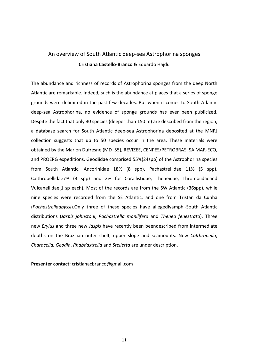#### An overview of South Atlantic deep-sea Astrophorina sponges **Cristiana Castello-Branco** & Eduardo Hajdu

The abundance and richness of records of Astrophorina sponges from the deep North Atlantic are remarkable. Indeed, such is the abundance at places that a series of sponge grounds were delimited in the past few decades. But when it comes to South Atlantic deep-sea Astrophorina, no evidence of sponge grounds has ever been publicized. Despite the fact that only 30 species (deeper than 150 m) are described from the region, a database search for South Atlantic deep-sea Astrophorina deposited at the MNRJ collection suggests that up to 50 species occur in the area. These materials were obtained by the Marion Dufresne (MD–55), REVIZEE, CENPES/PETROBRAS, SA MAR-ECO, and PROERG expeditions. Geodiidae comprised 55%(24spp) of the Astrophorina species from South Atlantic, Ancorinidae 18% (8 spp), Pachastrellidae 11% (5 spp), Calthropellidae7% (3 spp) and 2% for Corallistidae, Theneidae, Thrombiidaeand Vulcanellidae(1 sp each). Most of the records are from the SW Atlantic (36spp), while nine species were recorded from the SE Atlantic, and one from Tristan da Cunha (*Pachastrellaabyssi*).Only three of these species have allegedlyamphi-South Atlantic distributions (*Jaspis johnstoni*, *Pachastrella monilifera* and *Thenea fenestrata*). Three new *Erylus* and three new *Jaspis* have recently been beendescribed from intermediate depths on the Brazilian outer shelf, upper slope and seamounts. New *Calthropella*, *Characella, Geodia*, *Rhabdastrella* and *Stelletta* are under description.

**Presenter contact:** cristianacbranco@gmail.com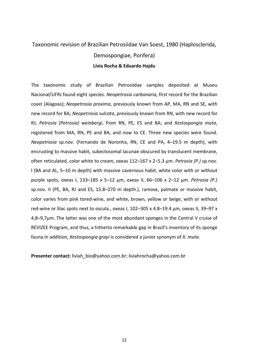#### Taxonomic revision of Brazilian Petrosiidae Van Soest, 1980 (Haplosclerida,

#### Demospongiae, Porifera)

#### **Lívia Rocha & Eduardo Hajdu**

The taxonomic study of Brazilian Petrosiidae samples deposited at Museu Nacional/UFRJ found eight species. *Neopetrosia carbonaria*, first record for the Brazilian coast (Alagoas); *Neopetrosia proxima*, previously known from AP, MA, RN and SE, with new record for BA; *Neopetrosia sulcata*, previously known from RN, with new record for RJ; *Petrosia (Petrosia) weinbergi*, from RN, PE, ES and BA; and *Xestospongia muta*, registered from MA, RN, PE and BA, and now to CE. Three new species were found. *Neopetrosia* sp.nov. (Fernando de Noronha, RN, CE and PA, 4–19.5 m depth), with encrusting to massive habit, subectosomal lacunae obscured by translucent membrane, often reticulated, color white to cream, oxeas 112–167 x 2–5.3 µm. *Petrosia (P.)* sp.nov. I (BA and AL, 5–10 m depth) with massive cavernous habit, white color with or without purple spots, oxeas I, 133–185 x 5–12 μm, oxeas II, 66–106 x 2–12 μm. *Petrosia (P.)*  sp.nov. II (PE, BA, RJ and ES, 15.8–270 m depth.), ramose, palmate or massive habit, color varies from pink tored-wine, and white, brown, yellow or beige, with or without red-wine or lilac spots next to oscula., oxeas I, 102–305 x 4.8–19.4 μm, oxeas II, 39–97 x 4,8–9,7μm. The latter was one of the most abundant sponges in the Central V cruise of REVIZEE Program, and thus, a hitherto remarkable gap in Brazil's inventory of its sponge fauna.In addition, *Xestospongia grayi* is considered a junior synonym of *X. muta*.

**Presenter contact:** liviah\_bio@yahoo.com.br; liviahrocha@yahoo.com.br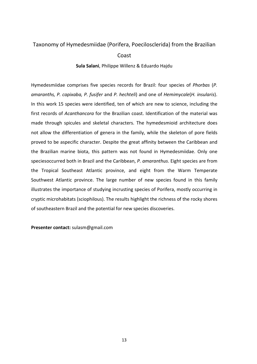#### Taxonomy of Hymedesmiidae (Porifera, Poecilosclerida) from the Brazilian

#### Coast

#### **Sula Salani**, Philippe Willenz & Eduardo Hajdu

Hymedesmiidae comprises five species records for Brazil: four species of *Phorbas* (*P. amaranths, P. capixaba, P. fusifer* and *P. hechteli*) and one of *Hemimycale*(*H. insularis*). In this work 15 species were identified, ten of which are new to science, including the first records of *Acanthancora* for the Brazilian coast. Identification of the material was made through spicules and skeletal characters. The hymedesmioid architecture does not allow the differentiation of genera in the family, while the skeleton of pore fields proved to be aspecific character. Despite the great affinity between the Caribbean and the Brazilian marine biota, this pattern was not found in Hymedesmiidae. Only one speciesoccurred both in Brazil and the Caribbean, *P. amaranthus*. Eight species are from the Tropical Southeast Atlantic province, and eight from the Warm Temperate Southwest Atlantic province. The large number of new species found in this family illustrates the importance of studying incrusting species of Porifera, mostly occurring in cryptic microhabitats (sciophilous). The results highlight the richness of the rocky shores of southeastern Brazil and the potential for new species discoveries.

**Presenter contact:** sulasm@gmail.com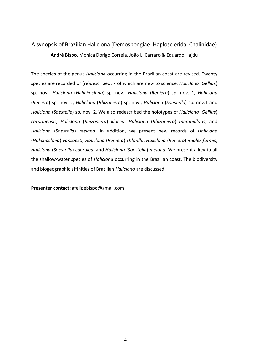### A synopsis of Brazilian Haliclona (Demospongiae: Haplosclerida: Chalinidae) **André Bispo**, Monica Dorigo Correia, João L. Carraro & Eduardo Hajdu

The species of the genus *Haliclona* occurring in the Brazilian coast are revised. Twenty species are recorded or (re)described, 7 of which are new to science: *Haliclona* (*Gellius*) sp. nov., *Haliclona* (*Halichoclona*) sp. nov., *Haliclona* (*Reniera*) sp. nov. 1, *Haliclona* (*Reniera*) sp. nov. 2, *Haliclona* (*Rhizoniera*) sp. nov., *Haliclona* (*Soestella*) sp. nov.1 and *Haliclona* (*Soestella*) sp. nov. 2. We also redescribed the holotypes of *Haliclona* (*Gellius*) *catarinensis*, *Haliclona* (*Rhizoniera*) *lilacea*, *Haliclona* (*Rhizoniera*) *mammillaris*, and *Haliclona* (*Soestella*) *melana*. In addition, we present new records of *Haliclona* (*Halichoclona*) *vansoesti*, *Haliclona* (*Reniera*) *chlorilla*, *Haliclona* (*Reniera*) *implexiformis*, *Haliclona* (*Soestella*) *caerulea*, and *Haliclona* (*Soestella*) *melana*. We present a key to all the shallow-water species of *Haliclona* occurring in the Brazilian coast. The biodiversity and biogeographic affinities of Brazilian *Haliclona* are discussed.

**Presenter contact:** afelipebispo@gmail.com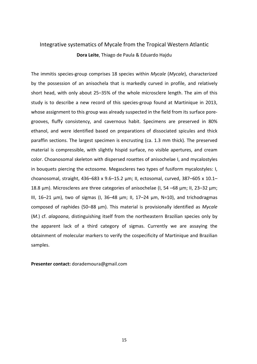### Integrative systematics of Mycale from the Tropical Western Atlantic **Dora Leite**, Thiago de Paula & Eduardo Hajdu

The immitis species-group comprises 18 species within *Mycale* (*Mycale*), characterized by the possession of an anisochela that is markedly curved in profile, and relatively short head, with only about 25–35% of the whole microsclere length. The aim of this study is to describe a new record of this species-group found at Martinique in 2013, whose assignment to this group was already suspected in the field from its surface poregrooves, fluffy consistency, and cavernous habit. Specimens are preserved in 80% ethanol, and were identified based on preparations of dissociated spicules and thick paraffin sections. The largest specimen is encrusting (ca. 1.3 mm thick). The preserved material is compressible, with slightly hispid surface, no visible apertures, and cream color. Choanosomal skeleton with dispersed rosettes of anisochelae I, and mycalostyles in bouquets piercing the ectosome. Megascleres two types of fusiform mycalostyles: I, choanosomal, straight, 436–683 x 9.6–15.2  $\mu$ m; II, ectosomal, curved, 387–605 x 10.1– 18.8 μm). Microscleres are three categories of anisochelae (I, 54 –68 μm; II, 23–32 μm; III, 16–21 μm), two of sigmas (I, 36–48 μm; II, 17–24 μm, N=10), and trichodragmas composed of raphides (50–88 μm). This material is provisionally identified as *Mycale* (*M.*) cf. *alagoana*, distinguishing itself from the northeastern Brazilian species only by the apparent lack of a third category of sigmas. Currently we are assaying the obtainment of molecular markers to verify the cospecificity of Martinique and Brazilian samples.

**Presenter contact:** dorademoura@gmail.com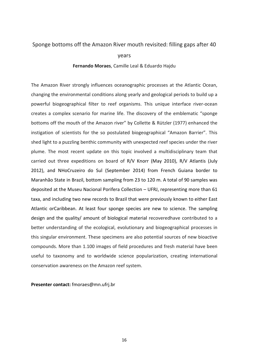#### Sponge bottoms off the Amazon River mouth revisited: filling gaps after 40

#### years

#### **Fernando Moraes**, Camille Leal & Eduardo Hajdu

The Amazon River strongly influences oceanographic processes at the Atlantic Ocean, changing the environmental conditions along yearly and geological periods to build up a powerful biogeographical filter to reef organisms. This unique interface river-ocean creates a complex scenario for marine life. The discovery of the emblematic "sponge bottoms off the mouth of the Amazon river" by Collette & Rützler (1977) enhanced the instigation of scientists for the so postulated biogeographical "Amazon Barrier". This shed light to a puzzling benthic community with unexpected reef species under the river plume. The most recent update on this topic involved a multidisciplinary team that carried out three expeditions on board of R/V Knorr (May 2010), R/V Atlantis (July 2012), and NHoCruzeiro do Sul (September 2014) from French Guiana border to Maranhão State in Brazil, bottom sampling from 23 to 120 m. A total of 90 samples was deposited at the Museu Nacional Porifera Collection – UFRJ, representing more than 61 taxa, and including two new records to Brazil that were previously known to either East Atlantic orCaribbean. At least four sponge species are new to science. The sampling design and the quality/ amount of biological material recoveredhave contributed to a better understanding of the ecological, evolutionary and biogeographical processes in this singular environment. These specimens are also potential sources of new bioactive compounds. More than 1.100 images of field procedures and fresh material have been useful to taxonomy and to worldwide science popularization, creating international conservation awareness on the Amazon reef system.

**Presenter contact:** fmoraes@mn.ufrj.br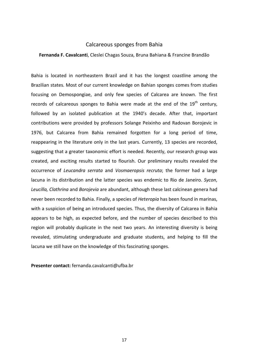#### Calcareous sponges from Bahia

#### **Fernanda F. Cavalcanti**, Cleslei Chagas Souza, Bruna Bahiana & Francine Brandão

Bahia is located in northeastern Brazil and it has the longest coastline among the Brazilian states. Most of our current knowledge on Bahian sponges comes from studies focusing on Demospongiae, and only few species of Calcarea are known. The first records of calcareous sponges to Bahia were made at the end of the  $19<sup>th</sup>$  century, followed by an isolated publication at the 1940's decade. After that, important contributions were provided by professors Solange Peixinho and Radovan Borojevic in 1976, but Calcarea from Bahia remained forgotten for a long period of time, reappearing in the literature only in the last years. Currently, 13 species are recorded, suggesting that a greater taxonomic effort is needed. Recently, our research group was created, and exciting results started to flourish. Our preliminary results revealed the occurrence of *Leucandra serrata* and *Vosmaeropsis recruta*; the former had a large lacuna in its distribution and the latter species was endemic to Rio de Janeiro. *Sycon*, *Leucilla, Clathrina* and *Borojevia* are abundant, although these last calcinean genera had never been recorded to Bahia. Finally, a species of *Heteropia* has been found in marinas, with a suspicion of being an introduced species. Thus, the diversity of Calcarea in Bahia appears to be high, as expected before, and the number of species described to this region will probably duplicate in the next two years. An interesting diversity is being revealed, stimulating undergraduate and graduate students, and helping to fill the lacuna we still have on the knowledge of this fascinating sponges.

**Presenter contact:** fernanda.cavalcanti@ufba.br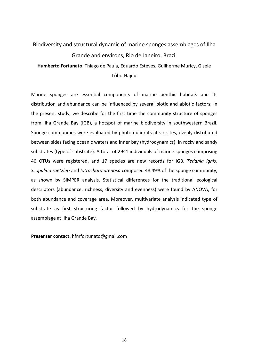## Biodiversity and structural dynamic of marine sponges assemblages of Ilha Grande and environs, Rio de Janeiro, Brazil

**Humberto Fortunato**, Thiago de Paula, Eduardo Esteves, Guilherme Muricy, Gisele Lôbo-Hajdu

Marine sponges are essential components of marine benthic habitats and its distribution and abundance can be influenced by several biotic and abiotic factors. In the present study, we describe for the first time the community structure of sponges from Ilha Grande Bay (IGB), a hotspot of marine biodiversity in southwestern Brazil. Sponge communities were evaluated by photo-quadrats at six sites, evenly distributed between sides facing oceanic waters and inner bay (hydrodynamics), in rocky and sandy substrates (type of substrate). A total of 2941 individuals of marine sponges comprising 46 OTUs were registered, and 17 species are new records for IGB. *Tedania ignis*, *Scopalina ruetzleri* and *Iotrochota arenosa* composed 48.49% of the sponge community, as shown by SIMPER analysis. Statistical differences for the traditional ecological descriptors (abundance, richness, diversity and evenness) were found by ANOVA, for both abundance and coverage area. Moreover, multivariate analysis indicated type of substrate as first structuring factor followed by hydrodynamics for the sponge assemblage at Ilha Grande Bay.

**Presenter contact:** hfmfortunato@gmail.com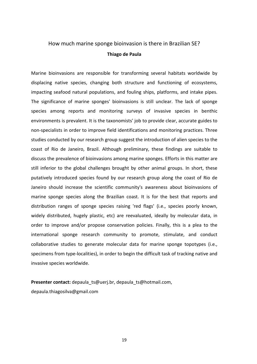### How much marine sponge bioinvasion is there in Brazilian SE? **Thiago de Paula**

Marine bioinvasions are responsible for transforming several habitats worldwide by displacing native species, changing both structure and functioning of ecosystems, impacting seafood natural populations, and fouling ships, platforms, and intake pipes. The significance of marine sponges' bioinvasions is still unclear. The lack of sponge species among reports and monitoring surveys of invasive species in benthic environments is prevalent. It is the taxonomists' job to provide clear, accurate guides to non-specialists in order to improve field identifications and monitoring practices. Three studies conducted by our research group suggest the introduction of alien species to the coast of Rio de Janeiro, Brazil. Although preliminary, these findings are suitable to discuss the prevalence of bioinvasions among marine sponges. Efforts in this matter are still inferior to the global challenges brought by other animal groups. In short, these putatively introduced species found by our research group along the coast of Rio de Janeiro should increase the scientific community's awareness about bioinvasions of marine sponge species along the Brazilian coast. It is for the best that reports and distribution ranges of sponge species raising 'red flags' (i.e., species poorly known, widely distributed, hugely plastic, etc) are reevaluated, ideally by molecular data, in order to improve and/or propose conservation policies. Finally, this is a plea to the international sponge research community to promote, stimulate, and conduct collaborative studies to generate molecular data for marine sponge topotypes (i.e., specimens from type-localities), in order to begin the difficult task of tracking native and invasive species worldwide.

**Presenter contact:** depaula\_ts@uerj.br, depaula\_ts@hotmail.com, depaula.thiagosilva@gmail.com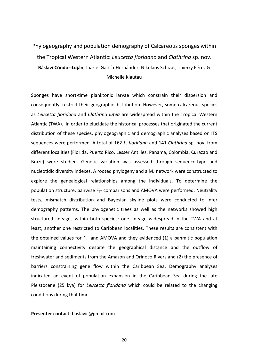## Phylogeography and population demography of Calcareous sponges within the Tropical Western Atlantic: *Leucetta floridana* and *Clathrina* sp. nov. **Báslavi Cóndor-Luján**, Jaaziel García-Hernández, Nikolaos Schizas, Thierry Pérez & Michelle Klautau

Sponges have short-time planktonic larvae which constrain their dispersion and consequently, restrict their geographic distribution. However, some calcareous species as *Leucetta floridana* and *Clathrina lutea* are widespread within the Tropical Western Atlantic (TWA). In order to elucidate the historical processes that originated the current distribution of these species, phylogeographic and demographic analyses based on ITS sequences were performed. A total of 162 *L*. *floridana* and 141 *Clathrina* sp. nov. from different localities (Florida, Puerto Rico, Lesser Antilles, Panama, Colombia, Curazao and Brazil) were studied. Genetic variation was assessed through sequence-type and nucleotidic diversity indexes. A rooted phylogeny and a MJ network were constructed to explore the genealogical relationships among the individuals. To determine the population structure, pairwise  $F_{ST}$  comparisons and AMOVA were performed. Neutrality tests, mismatch distribution and Bayesian skyline plots were conducted to infer demography patterns. The phylogenetic trees as well as the networks showed high structured lineages within both species: one lineage widespread in the TWA and at least, another one restricted to Caribbean localities. These results are consistent with the obtained values for  $F_{ST}$  and AMOVA and they evidenced (1) a panmitic population maintaining connectivity despite the geographical distance and the outflow of freshwater and sediments from the Amazon and Orinoco Rivers and (2) the presence of barriers constraining gene flow within the Caribbean Sea. Demography analyses indicated an event of population expansion in the Caribbean Sea during the late Pleistocene (25 kya) for *Leucetta floridana* which could be related to the changing conditions during that time.

#### **Presenter contact:** baslavic@gmail.com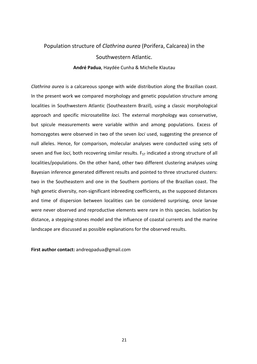## Population structure of *Clathrina aurea* (Porifera, Calcarea) in the Southwestern Atlantic.

#### **André Padua**, Haydée Cunha & Michelle Klautau

*Clathrina aurea* is a calcareous sponge with wide distribution along the Brazilian coast. In the present work we compared morphology and genetic population structure among localities in Southwestern Atlantic (Southeastern Brazil), using a classic morphological approach and specific microsatellite *loci*. The external morphology was conservative, but spicule measurements were variable within and among populations. Excess of homozygotes were observed in two of the seven *loci* used, suggesting the presence of null alleles. Hence, for comparison, molecular analyses were conducted using sets of seven and five *loci*, both recovering similar results. F<sub>ST</sub> indicated a strong structure of all localities/populations. On the other hand, other two different clustering analyses using Bayesian inference generated different results and pointed to three structured clusters: two in the Southeastern and one in the Southern portions of the Brazilian coast. The high genetic diversity, non-significant inbreeding coefficients, as the supposed distances and time of dispersion between localities can be considered surprising, once larvae were never observed and reproductive elements were rare in this species. Isolation by distance, a stepping-stones model and the influence of coastal currents and the marine landscape are discussed as possible explanations for the observed results.

**First author contact:** andreqpadua@gmail.com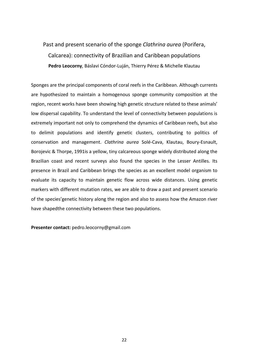## Past and present scenario of the sponge *Clathrina aurea* (Porifera, Calcarea): connectivity of Brazilian and Caribbean populations **Pedro Leocorny**, Báslavi Cóndor-Luján, Thierry Pérez & Michelle Klautau

Sponges are the principal components of coral reefs in the Caribbean. Although currents are hypothesized to maintain a homogenous sponge community composition at the region, recent works have been showing high genetic structure related to these animals' low dispersal capability. To understand the level of connectivity between populations is extremely important not only to comprehend the dynamics of Caribbean reefs, but also to delimit populations and identify genetic clusters, contributing to politics of conservation and management. *Clathrina aurea* Solé-Cava, Klautau, Boury-Esnault, Borojevic & Thorpe, 1991is a yellow, tiny calcareous sponge widely distributed along the Brazilian coast and recent surveys also found the species in the Lesser Antilles. Its presence in Brazil and Caribbean brings the species as an excellent model organism to evaluate its capacity to maintain genetic flow across wide distances. Using genetic markers with different mutation rates, we are able to draw a past and present scenario of the species'genetic history along the region and also to assess how the Amazon river have shapedthe connectivity between these two populations.

**Presenter contact:** pedro.leocorny@gmail.com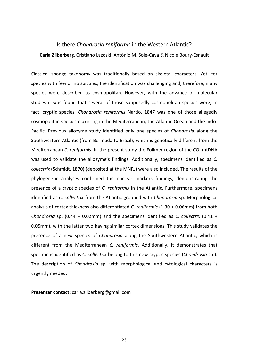## Is there *Chondrosia reniformis* in the Western Atlantic?

#### **Carla Zilberberg**, Cristiano Lazoski, Antônio M. Solé-Cava & Nicole Boury-Esnault

Classical sponge taxonomy was traditionally based on skeletal characters. Yet, for species with few or no spicules, the identification was challenging and, therefore, many species were described as cosmopolitan. However, with the advance of molecular studies it was found that several of those supposedly cosmopolitan species were, in fact, cryptic species. *Chondrosia reniformis* Nardo, 1847 was one of those allegedly cosmopolitan species occurring in the Mediterranean, the Atlantic Ocean and the Indo-Pacific. Previous allozyme study identified only one species of *Chondrosia* along the Southwestern Atlantic (from Bermuda to Brazil), which is genetically different from the Mediterranean *C. reniformis*. In the present study the Follmer region of the COI mtDNA was used to validate the allozyme's findings. Additionally, specimens identified as *C. collectrix* (Schmidt, 1870) (deposited at the MNRJ) were also included. The results of the phylogenetic analyses confirmed the nuclear markers findings, demonstrating the presence of a cryptic species of *C. reniformis* in the Atlantic. Furthermore, specimens identified as *C. collectrix* from the Atlantic grouped with *Chondrosia* sp. Morphological analysis of cortex thickness also differentiated *C. reniformis* (1.30 + 0.06mm) from both *Chondrosia* sp. (0.44 + 0.02mm) and the specimens identified as *C. collectrix* (0.41 + 0.05mm), with the latter two having similar cortex dimensions. This study validates the presence of a new species of *Chondrosia* along the Southwestern Atlantic, which is different from the Mediterranean *C. reniformis*. Additionally, it demonstrates that specimens identified as *C. collectrix* belong to this new cryptic species (*Chondrosia* sp.). The description of *Chondrosia* sp. with morphological and cytological characters is urgently needed.

**Presenter contact:** carla.zilberberg@gmail.com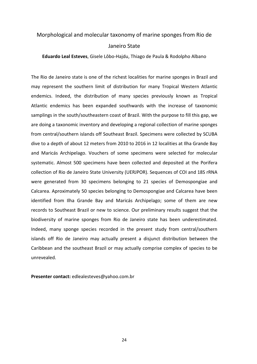### Morphological and molecular taxonomy of marine sponges from Rio de Janeiro State

**Eduardo Leal Esteves**, Gisele Lôbo-Hajdu, Thiago de Paula & Rodolpho Albano

The Rio de Janeiro state is one of the richest localities for marine sponges in Brazil and may represent the southern limit of distribution for many Tropical Western Atlantic endemics. Indeed, the distribution of many species previously known as Tropical Atlantic endemics has been expanded southwards with the increase of taxonomic samplings in the south/southeastern coast of Brazil. With the purpose to fill this gap, we are doing a taxonomic inventory and developing a regional collection of marine sponges from central/southern islands off Southeast Brazil. Specimens were collected by SCUBA dive to a depth of about 12 meters from 2010 to 2016 in 12 localities at Ilha Grande Bay and Maricás Archipelago. Vouchers of some specimens were selected for molecular systematic. Almost 500 specimens have been collected and deposited at the Porifera collection of Rio de Janeiro State University (UERJPOR). Sequences of COI and 18S rRNA were generated from 30 specimens belonging to 21 species of Demospongiae and Calcarea. Aproximately 50 species belonging to Demospongiae and Calcarea have been identified from Ilha Grande Bay and Maricás Archipelago; some of them are new records to Southeast Brazil or new to science. Our preliminary results suggest that the biodiversity of marine sponges from Rio de Janeiro state has been underestimated. Indeed, many sponge species recorded in the present study from central/southern islands off Rio de Janeiro may actually present a disjunct distribution between the Caribbean and the southeast Brazil or may actually comprise complex of species to be unrevealed.

**Presenter contact:** edlealesteves@yahoo.com.br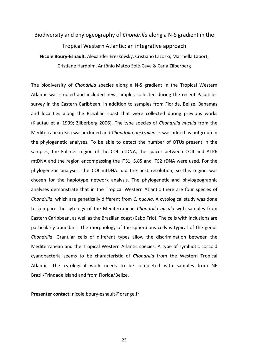## Biodiversity and phylogeography of *Chondrilla* along a N-S gradient in the Tropical Western Atlantic: an integrative approach **Nicole Boury-Esnault**, Alexander Ereskovsky, Cristiano Lazoski, Marinella Laport,

Cristiane Hardoim, Antônio Mateo Solé-Cava & Carla Zilberberg

The biodiversity of *Chondrilla* species along a N-S gradient in the Tropical Western Atlantic was studied and included new samples collected during the recent Pacotilles survey in the Eastern Caribbean, in addition to samples from Florida, Belize, Bahamas and localities along the Brazilian coast that were collected during previous works (Klautau et al 1999; Zilberberg 2006). The type species of *Chondrilla nucula* from the Mediterranean Sea was included and *Chondrilla australiensis* was added as outgroup in the phylogenetic analyses. To be able to detect the number of OTUs present in the samples, the Follmer region of the COI mtDNA, the spacer between COII and ATP6 mtDNA and the region encompassing the ITS1, 5.8S and ITS2 rDNA were used. For the phylogenetic analyses, the COI mtDNA had the best resolution, so this region was chosen for the haplotype network analysis. The phylogenetic and phylogeographic analyses demonstrate that in the Tropical Western Atlantic there are four species of *Chondrilla*, which are genetically different from *C. nucula*. A cytological study was done to compare the cytology of the Mediterranean *Chondrilla nucula* with samples from Eastern Caribbean, as well as the Brazilian coast (Cabo Frio). The cells with inclusions are particularly abundant. The morphology of the spherulous cells is typical of the genus *Chondrilla*. Granular cells of different types allow the discrimination between the Mediterranean and the Tropical Western Atlantic species. A type of symbiotic coccoid cyanobacteria seems to be characteristic of *Chondrilla* from the Western Tropical Atlantic. The cytological work needs to be completed with samples from NE Brazil/Trindade Island and from Florida/Belize.

**Presenter contact:** nicole.boury-esnault@orange.fr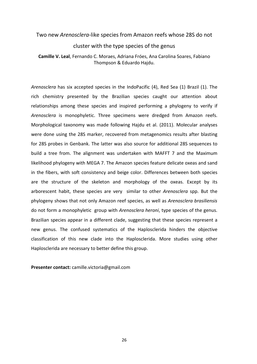### Two new *Arenosclera*-like species from Amazon reefs whose 28S do not cluster with the type species of the genus **Camille V. Leal**, Fernando C. Moraes, Adriana Fróes, Ana Carolina Soares, Fabiano

Thompson & Eduardo Hajdu.

*Arenosclera* has six accepted species in the IndoPacific (4), Red Sea (1) Brazil (1). The rich chemistry presented by the Brazilian species caught our attention about relationships among these species and inspired performing a phylogeny to verify if *Arenosclera* is monophyletic. Three specimens were dredged from Amazon reefs. Morphological taxonomy was made following Hajdu et al. (2011). Molecular analyses were done using the 28S marker, recovered from metagenomics results after blasting for 28S probes in Genbank. The latter was also source for additional 28S sequences to build a tree from. The alignment was undertaken with MAFFT 7 and the Maximum likelihood phylogeny with MEGA 7. The Amazon species feature delicate oxeas and sand in the fibers, with soft consistency and beige color. Differences between both species are the structure of the skeleton and morphology of the oxeas. Except by its arborescent habit, these species are very similar to other *Arenosclera* spp. But the phylogeny shows that not only Amazon reef species, as well as *Arenosclera brasiliensis*  do not form a monophyletic group with *Arenosclera heroni*, type species of the genus. Brazilian species appear in a different clade, suggesting that these species represent a new genus. The confused systematics of the Haplosclerida hinders the objective classification of this new clade into the Haplosclerida. More studies using other Haplosclerida are necessary to better define this group.

**Presenter contact:** camille.victoria@gmail.com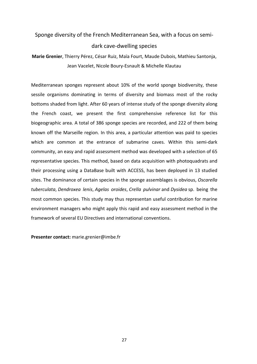## Sponge diversity of the French Mediterranean Sea, with a focus on semi-

#### dark cave-dwelling species

**Marie Grenier**, Thierry Pérez, César Ruiz, Maïa Fourt, Maude Dubois, Mathieu Santonja, Jean Vacelet, Nicole Boury-Esnault & Michelle Klautau

Mediterranean sponges represent about 10% of the world sponge biodiversity, these sessile organisms dominating in terms of diversity and biomass most of the rocky bottoms shaded from light. After 60 years of intense study of the sponge diversity along the French coast, we present the first comprehensive reference list for this biogeographic area. A total of 386 sponge species are recorded, and 222 of them being known off the Marseille region. In this area, a particular attention was paid to species which are common at the entrance of submarine caves. Within this semi-dark community, an easy and rapid assessment method was developed with a selection of 65 representative species. This method, based on data acquisition with photoquadrats and their processing using a DataBase built with ACCESS, has been deployed in 13 studied sites. The dominance of certain species in the sponge assemblages is obvious, *Oscarella tuberculata*, *Dendroxea lenis*, *Agelas oroides*, *Crella pulvinar* and *Dysidea* sp. being the most common species. This study may thus representan useful contribution for marine environment managers who might apply this rapid and easy assessment method in the framework of several EU Directives and international conventions.

**Presenter contact:** marie.grenier@imbe.fr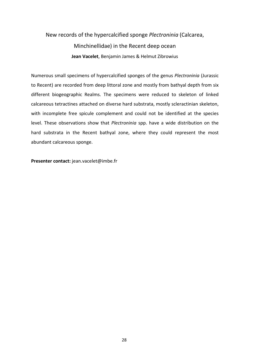## New records of the hypercalcified sponge *Plectroninia* (Calcarea, Minchinellidae) in the Recent deep ocean **Jean Vacelet**, Benjamin James & Helmut Zibrowius

Numerous small specimens of hypercalcified sponges of the genus *Plectroninia* (Jurassic to Recent) are recorded from deep littoral zone and mostly from bathyal depth from six different biogeographic Realms. The specimens were reduced to skeleton of linked calcareous tetractines attached on diverse hard substrata, mostly scleractinian skeleton, with incomplete free spicule complement and could not be identified at the species level. These observations show that *Plectroninia* spp. have a wide distribution on the hard substrata in the Recent bathyal zone, where they could represent the most abundant calcareous sponge.

**Presenter contact:** jean.vacelet@imbe.fr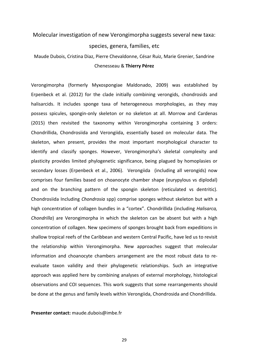## Molecular investigation of new Verongimorpha suggests several new taxa: species, genera, families, etc

Maude Dubois, Cristina Diaz, Pierre Chevaldonne, César Ruiz, Marie Grenier, Sandrine Chenesseau & **Thierry Pérez**

Verongimorpha (formerly Myxospongiae Maldonado, 2009) was established by Erpenbeck et al. (2012) for the clade initially combining verongids, chondrosids and halisarcids. It includes sponge taxa of heterogeneous morphologies, as they may possess spicules, spongin-only skeleton or no skeleton at all. Morrow and Cardenas (2015) then revisited the taxonomy within Verongimorpha containing 3 orders: Chondrillida, Chondrosiida and Verongiida, essentially based on molecular data. The skeleton, when present, provides the most important morphological character to identify and classify sponges. However, Verongimorpha's skeletal complexity and plasticity provides limited phylogenetic significance, being plagued by homoplasies or secondary losses (Erpenbeck et al., 2006). Verongiida (including all verongids) now comprises four families based on choanocyte chamber shape (eurypylous vs diplodal) and on the branching pattern of the spongin skeleton (reticulated vs dentritic). Chondrosiida Including *Chondrosia* spp) comprise sponges without skeleton but with a high concentration of collagen bundles in a "cortex". Chondrillida (including *Halisarca, Chondrilla*) are Verongimorpha in which the skeleton can be absent but with a high concentration of collagen. New specimens of sponges brought back from expeditions in shallow tropical reefs of the Caribbean and western Central Pacific, have led us to revisit the relationship within Verongimorpha. New approaches suggest that molecular information and choanocyte chambers arrangement are the most robust data to reevaluate taxon validity and their phylogenetic relationships. Such an integrative approach was applied here by combining analyses of external morphology, histological observations and COI sequences. This work suggests that some rearrangements should be done at the genus and family levels within Verongiida, Chondrosida and Chondrillida.

**Presenter contact:** maude.dubois@imbe.fr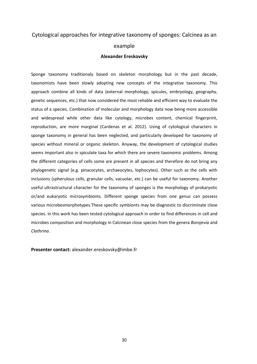## Cytological approaches for integrative taxonomy of sponges: Calcinea as an example

#### **Alexander Ereskovsky**

Sponge taxonomy traditionaly based on skeleton morphology but in the past decade, taxonomists have been slowly adopting new concepts of the integrative taxonomy. This approach combine all kinds of data (external morphology, spicules, embryology, geography, genetic sequences, etc.) that now considered the most reliable and efficient way to evaluate the status of a species. Combination of molecular and morphology data now being more accessible and widespread while other data like cytology, microbes content, chemical fingerprint, reproduction, are more marginal (Cardenas et al. 2012). Using of cytological characters in sponge taxonomy in general has been neglected, and particularly developed for taxonomy of species without mineral or organic skeleton. Anyway, the development of cytological studies seems important also in spiculate taxa for which there are severe taxonomic problems. Among the different categories of cells some are present in all species and therefore do not bring any phylogenetic signal (e.g. pinacocytes, archaeocytes, lophocytes). Other such as the cells with inclusions (spherulous cells, granular cells, vacuolar, etc.) can be useful for taxonomy. Another useful ultrastructural character for the taxonomy of sponges is the morphology of prokaryotic or/and eukaryotic microsymbionts. Different sponge species from one genus can possess various microbesmorphotypes.These specific symbionts may be diagnostic to discriminate close species. In this work has been tested cytological approach in order to find differences in cell and microbes composition and morphology in Calcinean close species from the genera *Borojevia* and *Clathrina*.

**Presenter contact:** alexander.ereskovsky@imbe.fr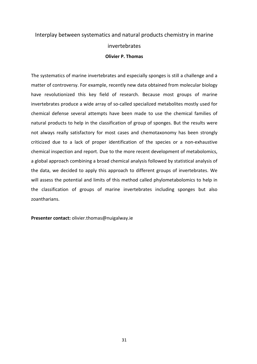## Interplay between systematics and natural products chemistry in marine invertebrates **Olivier P. Thomas**

The systematics of marine invertebrates and especially sponges is still a challenge and a matter of controversy. For example, recently new data obtained from molecular biology have revolutionized this key field of research. Because most groups of marine invertebrates produce a wide array of so-called specialized metabolites mostly used for chemical defense several attempts have been made to use the chemical families of natural products to help in the classification of group of sponges. But the results were not always really satisfactory for most cases and chemotaxonomy has been strongly criticized due to a lack of proper identification of the species or a non-exhaustive chemical inspection and report. Due to the more recent development of metabolomics, a global approach combining a broad chemical analysis followed by statistical analysis of the data, we decided to apply this approach to different groups of invertebrates. We will assess the potential and limits of this method called phylometabolomics to help in the classification of groups of marine invertebrates including sponges but also zoantharians.

**Presenter contact:** olivier.thomas@nuigalway.ie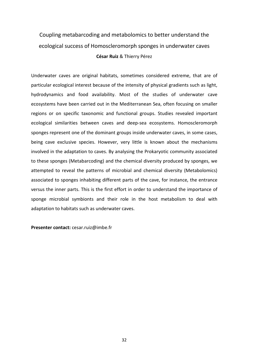## Coupling metabarcoding and metabolomics to better understand the ecological success of Homoscleromorph sponges in underwater caves **César Ruiz** & Thierry Pérez

Underwater caves are original habitats, sometimes considered extreme, that are of particular ecological interest because of the intensity of physical gradients such as light, hydrodynamics and food availability. Most of the studies of underwater cave ecosystems have been carried out in the Mediterranean Sea, often focusing on smaller regions or on specific taxonomic and functional groups. Studies revealed important ecological similarities between caves and deep-sea ecosystems. Homoscleromorph sponges represent one of the dominant groups inside underwater caves, in some cases, being cave exclusive species. However, very little is known about the mechanisms involved in the adaptation to caves. By analysing the Prokaryotic community associated to these sponges (Metabarcoding) and the chemical diversity produced by sponges, we attempted to reveal the patterns of microbial and chemical diversity (Metabolomics) associated to sponges inhabiting different parts of the cave, for instance, the entrance versus the inner parts. This is the first effort in order to understand the importance of sponge microbial symbionts and their role in the host metabolism to deal with adaptation to habitats such as underwater caves.

**Presenter contact:** cesar.ruiz@imbe.fr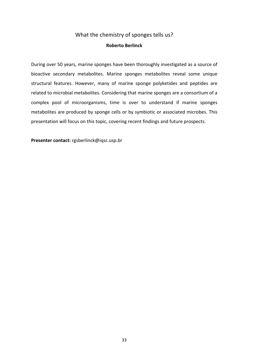#### What the chemistry of sponges tells us? **Roberto Berlinck**

During over 50 years, marine sponges have been thoroughly investigated as a source of bioactive secondary metabolites. Marine sponges metabolites reveal some unique structural features. However, many of marine sponge polyketides and peptides are related to microbial metabolites. Considering that marine sponges are a consortium of a complex pool of microorganisms, time is over to understand if marine sponges metabolites are produced by sponge cells or by symbiotic or associated microbes. This presentation will focus on this topic, covering recent findings and future prospects.

**Presenter contact:** rgsberlinck@iqsc.usp.br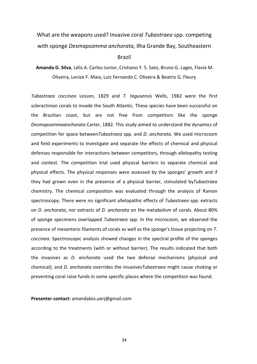## What are the weapons used? Invasive coral *Tubastraea* spp. competing with sponge *Desmapsamma anchorata*, Ilha Grande Bay, Southeastern Brazil

**Amanda G. Silva**, Lélis A. Carlos-Junior, Cristiano Y. S. Sato, Bruno G. Lages, Flavia M. Oliveira, Lenize F. Maia, Luiz Fernando C. Oliveira & Beatriz G. Fleury

*Tubastraea coccinea* Lesson, 1829 and *T. tagusensis* Wells, 1982 were the first scleractinian corals to invade the South Atlantic. These species have been successful on the Brazilian coast, but are not free from competitors like the sponge *Desmapsammaanchorata* Carter, 1882. This study aimed to understand the dynamics of competition for space between*Tubastraea* spp. and *D. anchorata*. We used microcosm and field experiments to investigate and separate the effects of chemical and physical defenses responsible for interactions between competitors, through allelopathy testing and contest. The competition trial used physical barriers to separate chemical and physical effects. The physical responses were assessed by the sponges' growth and if they had grown even in the presence of a physical barrier, stimulated by*Tubastraea* chemistry. The chemical composition was evaluated through the analysis of Raman spectroscopy. There were no significant allelopathic effects of *Tubastraea* spp. extracts on *D. anchorata*, nor extracts of *D. anchorata* on the metabolism of corals. About 80% of sponge specimens overlapped *Tubastraea* spp. In the microcosm, we observed the presence of mesenteric filaments of corals as well as the sponge's tissue projecting on *T. coccinea*. Spectroscopic analysis showed changes in the spectral profile of the sponges according to the treatments (with or without barrier). The results indicated that both the invasives as *D. anchorata* used the two defense mechanisms (physical and chemical); and *D. anchorata* overrides the invasives*Tubastraea* might cause choking or preventing coral raise funds in some specific places where the competition was found.

**Presenter contact:** amandabio.uerj@gmail.com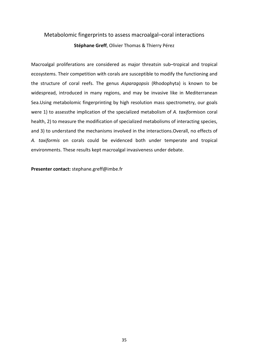#### Metabolomic fingerprints to assess macroalgal–coral interactions **Stéphane Greff**, Olivier Thomas & Thierry Pérez

Macroalgal proliferations are considered as major threatsin sub–tropical and tropical ecosystems. Their competition with corals are susceptible to modify the functioning and the structure of coral reefs. The genus *Asparagopsis* (Rhodophyta) is known to be widespread, introduced in many regions, and may be invasive like in Mediterranean Sea.Using metabolomic fingerprinting by high resolution mass spectrometry, our goals were 1) to assessthe implication of the specialized metabolism of *A. taxiformis*on coral health, 2) to measure the modification of specialized metabolisms of interacting species, and 3) to understand the mechanisms involved in the interactions.Overall, no effects of *A. taxiformis* on corals could be evidenced both under temperate and tropical environments. These results kept macroalgal invasiveness under debate.

**Presenter contact:** stephane.greff@imbe.fr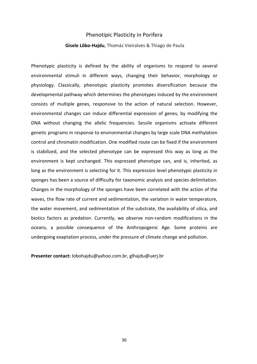#### Phenotipic Plasticity in Porifera

#### **Gisele Lôbo-Hajdu**, Thomáz Vieiralves & Thiago de Paula

Phenotypic plasticity is defined by the ability of organisms to respond to several environmental stimuli in different ways, changing their behavior, morphology or physiology. Classically, phenotypic plasticity promotes diversification because the developmental pathway which determines the phenotypes induced by the environment consists of multiple genes, responsive to the action of natural selection. However, environmental changes can induce differential expression of genes, by modifying the DNA without changing the allelic frequencies. Sessile organisms activate different genetic programs in response to environmental changes by large scale DNA methylation control and chromatin modification. One modified route can be fixed if the environment is stabilized, and the selected phenotype can be expressed this way as long as the environment is kept unchanged. This expressed phenotype can, and is, inherited, as long as the environment is selecting for it. This expression level phenotypic plasticity in sponges has been a source of difficulty for taxonomic analysis and species delimitation. Changes in the morphology of the sponges have been correlated with the action of the waves, the flow rate of current and sedimentation, the variation in water temperature, the water movement, and sedimentation of the substrate, the availability of silica, and biotics factors as predation. Currently, we observe non-random modifications in the oceans, a possible consequence of the Anthropogenic Age. Some proteins are undergoing exaptation process, under the pressure of climate change and pollution.

**Presenter contact:** lobohajdu@yahoo.com.br, glhajdu@uerj.br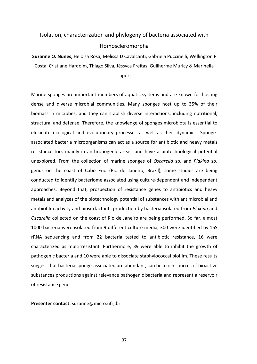### Isolation, characterization and phylogeny of bacteria associated with Homoscleromorpha

**Suzanne O. Nunes**, Heloisa Rosa, Melissa D Cavalcanti, Gabriela Puccinelli, Wellington F Costa, Cristiane Hardoim, Thiago Silva, Jéssyca Freitas, Guilherme Muricy & Marinella Laport

Marine sponges are important members of aquatic systems and are known for hosting dense and diverse microbial communities. Many sponges host up to 35% of their biomass in microbes, and they can stablish diverse interactions, including nutritional, structural and defense. Therefore, the knowledge of sponges microbiota is essential to elucidate ecological and evolutionary processes as well as their dynamics. Spongeassociated bacteria microorganisms can act as a source for antibiotic and heavy metals resistance too, mainly in anthropogenic areas, and have a biotechnological potential unexplored. From the collection of marine sponges of *Oscarella* sp. and *Plakina* sp. genus on the coast of Cabo Frio (Rio de Janeiro, Brazil), some studies are being conducted to identify bacteriome associated using culture-dependent and independent approaches. Beyond that, prospection of resistance genes to antibiotics and heavy metals and analyzes of the biotechnology potential of substances with antimicrobial and antibiofilm activity and biosurfactants production by bacteria isolated from *Plakina* and *Oscarella* collected on the coast of Rio de Janeiro are being performed. So far, almost 1000 bacteria were isolated from 9 different culture media, 300 were identified by 16S rRNA sequencing and from 22 bacteria tested to antibiotic resistance, 16 were characterized as multirresistant. Furthermore, 39 were able to inhibit the growth of pathogenic bacteria and 10 were able to dissociate staphylococcal biofilm. These results suggest that bacteria sponge-associated are abundant, can be a rich sources of bioactive substances productions against relevance pathogenic bacteria and represent a reservoir of resistance genes.

**Presenter contact:** suzanne@micro.ufrj.br